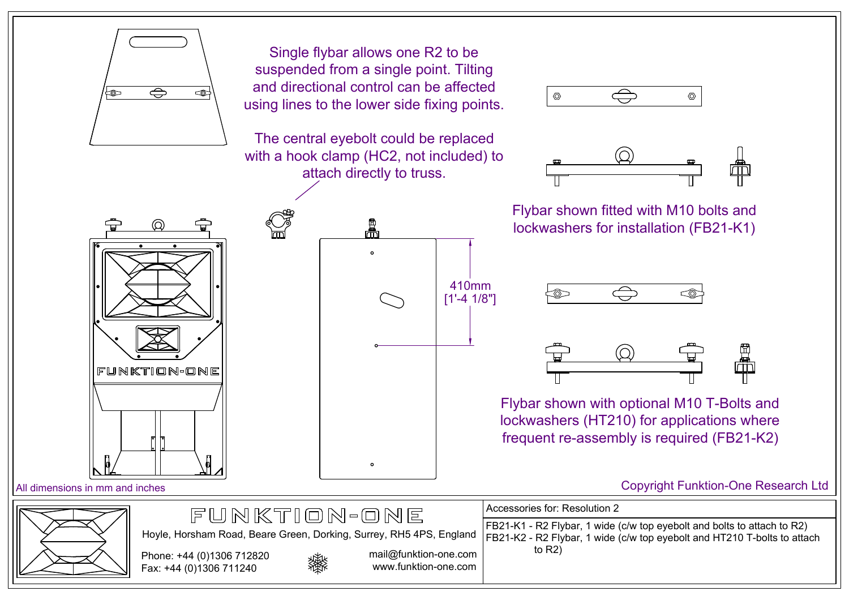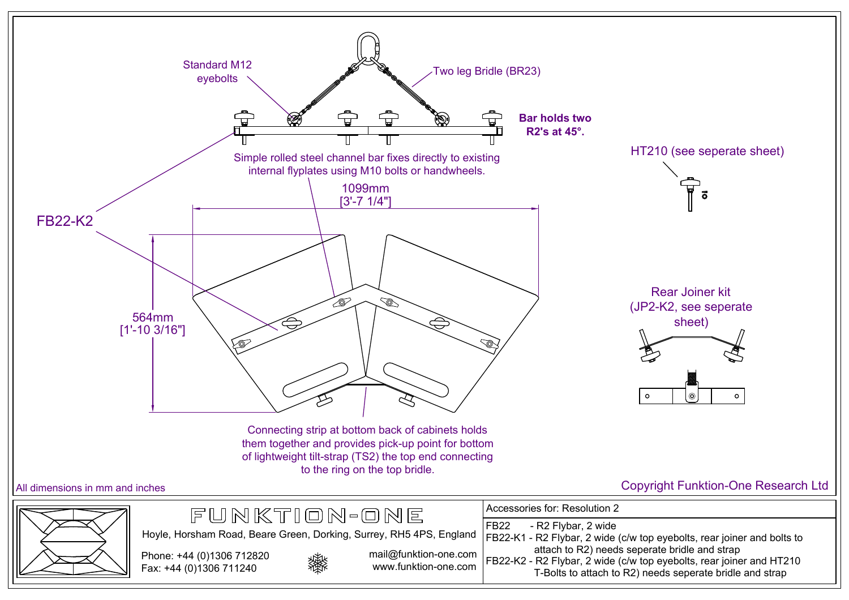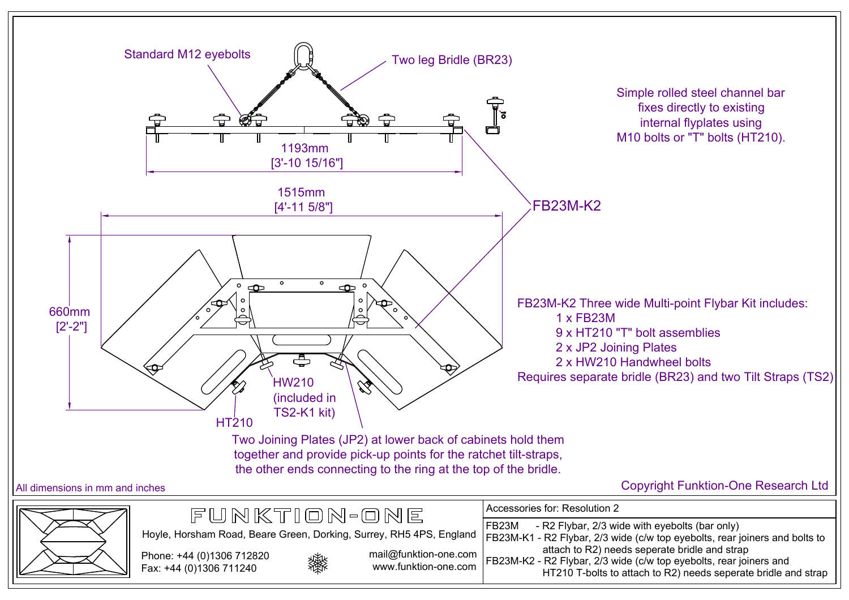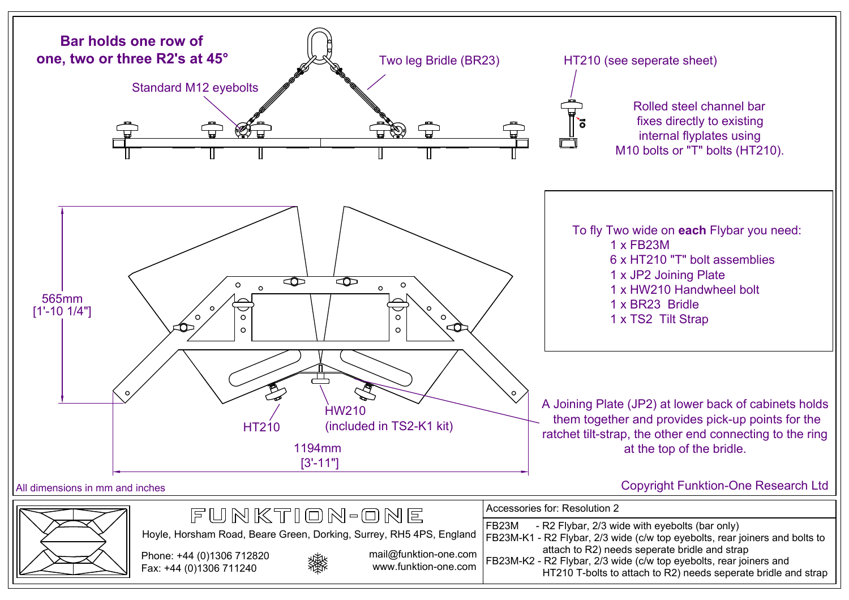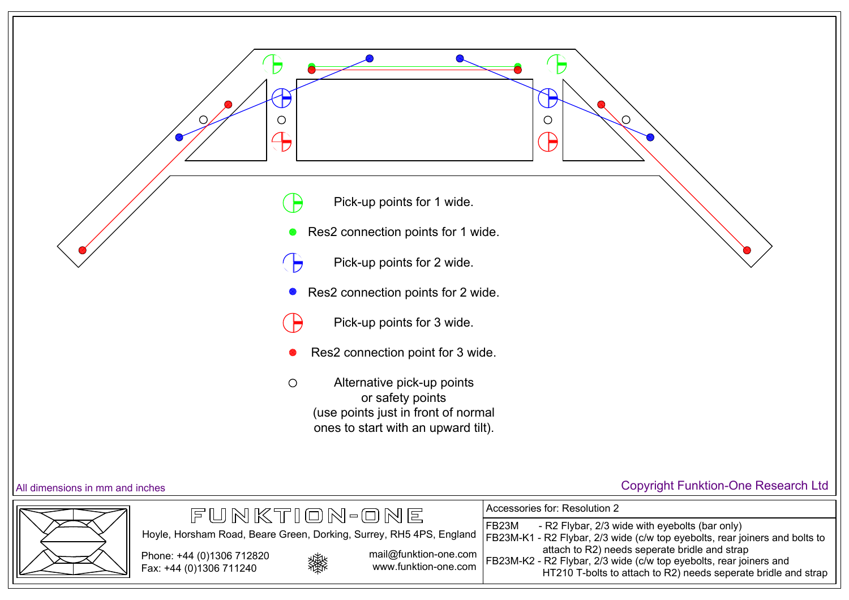

## All dimensions in mm and inches Copyright Funktion-One Research Ltd

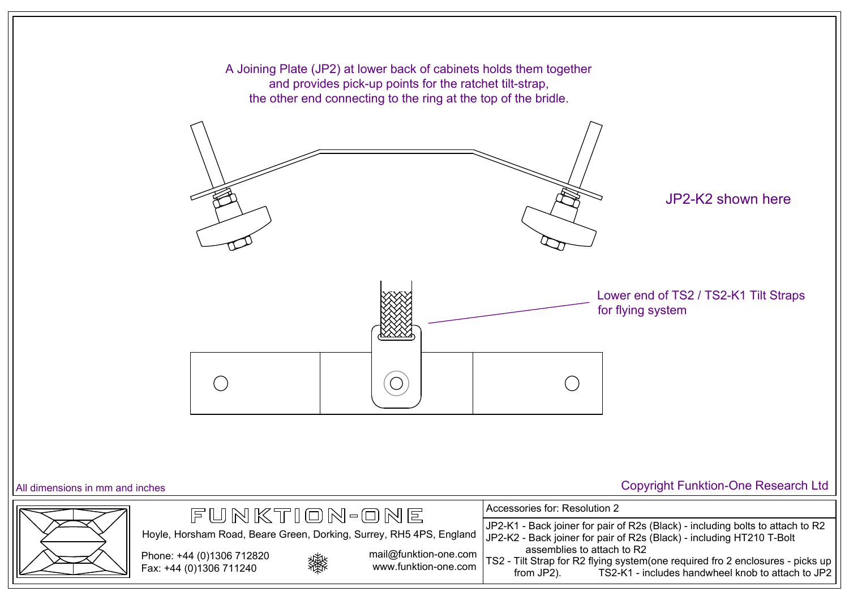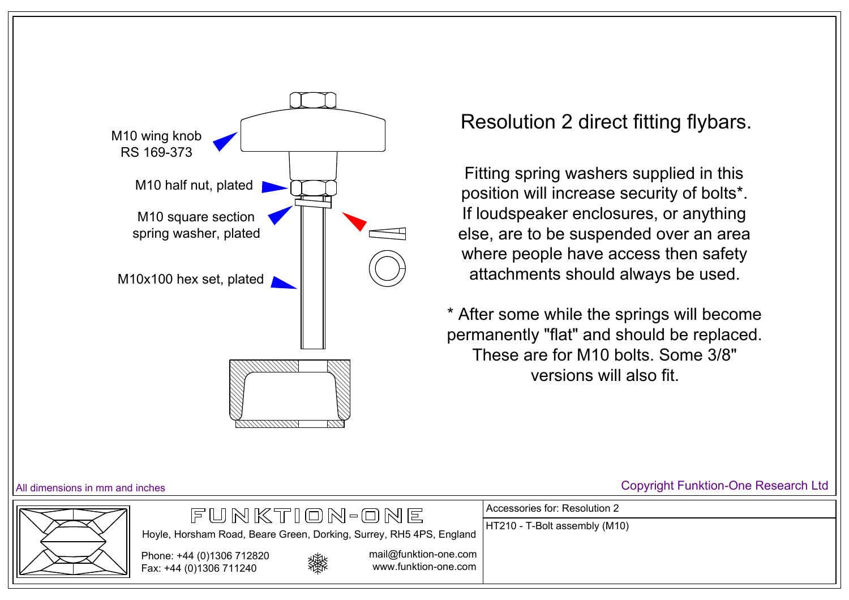

Fitting spring washers supplied in this position will increase security of bolts\*. If loudspeaker enclosures, or anything else, are to be suspended over an area where people have access then safety attachments should always be used.

\* After some while the springs will become permanently "flat" and should be replaced. These are for M10 bolts. Some 3/8" versions will also fit.

Accessories for: Resolution 2

HT210 - T-Bolt assembly (M10)





Phone: +44 (0)1306 712820 Fax: +44 (0)1306 711240



mail@funktion-one.com www.funktion-one.com

## All dimensions in mm and inches Copyright Funktion-One Research Ltd